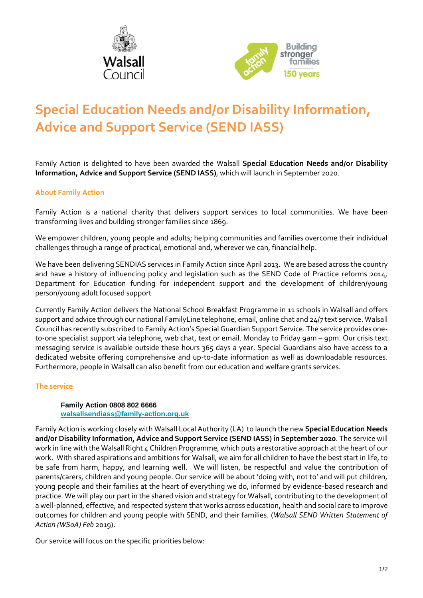



## **Special Education Needs and/or Disability Information, Advice and Support Service (SEND IASS)**

Family Action is delighted to have been awarded the Walsall **Special Education Needs and/or Disability Information, Advice and Support Service (SEND IASS)**, which will launch in September 2020.

## **About Family Action**

Family Action is a national charity that delivers support services to local communities. We have been transforming lives and building stronger families since 1869.

We empower children, young people and adults; helping communities and families overcome their individual challenges through a range of practical, emotional and, wherever we can, financial help.

We have been delivering SENDIAS services in Family Action since April 2013. We are based across the country and have a history of influencing policy and legislation such as the SEND Code of Practice reforms 2014, Department for Education funding for independent support and the development of children/young person/young adult focused support

Currently Family Action delivers the National School Breakfast Programme in 11 schools in Walsall and offers support and advice through our national FamilyLine telephone, email, online chat and 24/7 text service. Walsall Council has recently subscribed to Family Action's Special Guardian Support Service. The service provides oneto-one specialist support via telephone, web chat, text or email. Monday to Friday 9am – 9pm. Our crisis text messaging service is available outside these hours 365 days a year. Special Guardians also have access to a dedicated website offering comprehensive and up-to-date information as well as downloadable resources. Furthermore, people in Walsall can also benefit from our education and welfare grants services.

## **The service**

## **Family Action 0808 802 6666 [walsallsendiass@family-action.org.uk](mailto:walsallsendiass@family-action.org.uk)**

Family Action is working closely with Walsall Local Authority (LA) to launch the new **Special Education Needs and/or Disability Information, Advice and Support Service (SEND IASS) in September 2020**. The service will work in line with the Walsall Right 4 Children Programme, which puts a restorative approach at the heart of our work. With shared aspirations and ambitions for Walsall, we aim for all children to have the best start in life, to be safe from harm, happy, and learning well. We will listen, be respectful and value the contribution of parents/carers, children and young people. Our service will be about 'doing with, not to' and will put children, young people and their families at the heart of everything we do, informed by evidence-based research and practice. We will play our part in the shared vision and strategy for Walsall, contributing to the development of a well-planned, effective, and respected system that works across education, health and social care to improve outcomes for children and young people with SEND, and their families. (*Walsall SEND Written Statement of Action (WSoA) Feb* 2019).

Our service will focus on the specific priorities below: